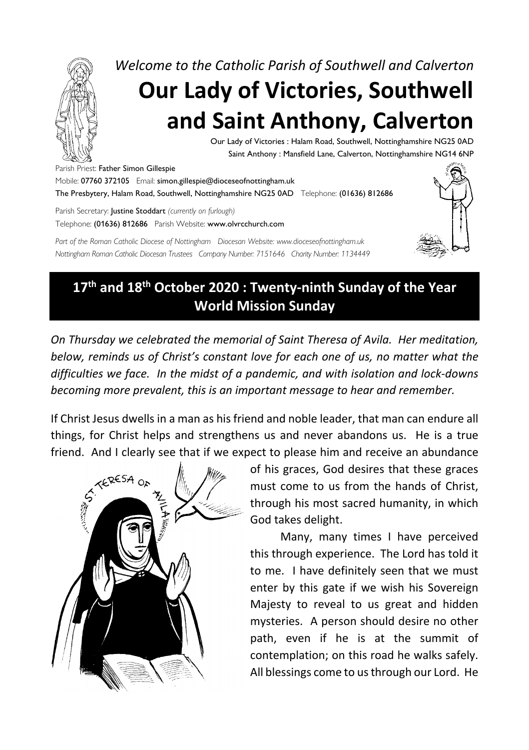

*Welcome to the Catholic Parish of Southwell and Calverton* **Our Lady of Victories, Southwell and Saint Anthony, Calverton**

> Our Lady of Victories : Halam Road, Southwell, Nottinghamshire NG25 0AD Saint Anthony : Mansfield Lane, Calverton, Nottinghamshire NG14 6NP

Parish Priest: Father Simon Gillespie

Mobile: 07760 372105 Email: simon.gillespie@dioceseofnottingham.uk The Presbytery, Halam Road, Southwell, Nottinghamshire NG25 0AD Telephone: (01636) 812686

Parish Secretary: Justine Stoddart *(currently on furlough)* Telephone: (01636) 812686 Parish Website: www.olvrcchurch.com

*Part of the Roman Catholic Diocese of Nottingham Diocesan Website: www.dioceseofnottingham.uk Nottingham Roman Catholic Diocesan Trustees Company Number: 7151646 Charity Number: 1134449*



## **17th and 18th October 2020 : Twenty-ninth Sunday of the Year World Mission Sunday**

*On Thursday we celebrated the memorial of Saint Theresa of Avila. Her meditation, below, reminds us of Christ's constant love for each one of us, no matter what the difficulties we face. In the midst of a pandemic, and with isolation and lock-downs becoming more prevalent, this is an important message to hear and remember.*

If Christ Jesus dwells in a man as his friend and noble leader, that man can endure all things, for Christ helps and strengthens us and never abandons us. He is a true



friend. And I clearly see that if we expect to please him and receive an abundance<br>of his graces, God desires that these graces<br>must come to us from the hands of Christ<br>through his maximum is through his maximum. of his graces, God desires that these graces must come to us from the hands of Christ, through his most sacred humanity, in which God takes delight.

> Many, many times I have perceived this through experience. The Lord has told it to me. I have definitely seen that we must enter by this gate if we wish his Sovereign Majesty to reveal to us great and hidden mysteries. A person should desire no other path, even if he is at the summit of contemplation; on this road he walks safely. All blessings come to us through our Lord. He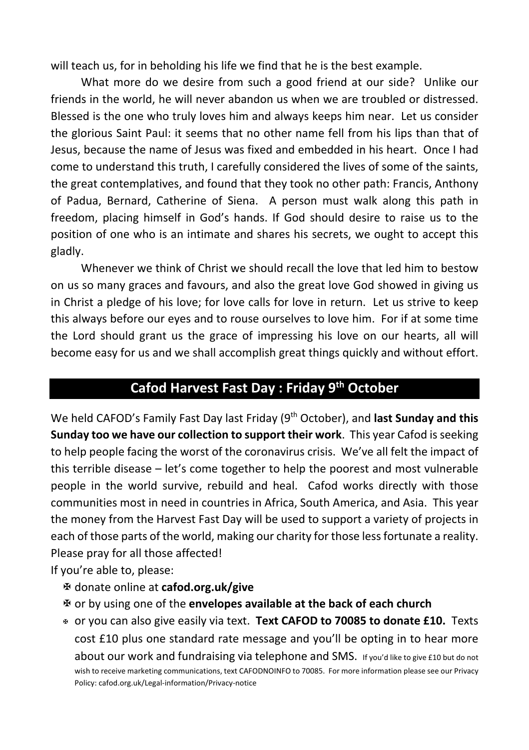will teach us, for in beholding his life we find that he is the best example.

What more do we desire from such a good friend at our side? Unlike our friends in the world, he will never abandon us when we are troubled or distressed. Blessed is the one who truly loves him and always keeps him near. Let us consider the glorious Saint Paul: it seems that no other name fell from his lips than that of Jesus, because the name of Jesus was fixed and embedded in his heart. Once I had come to understand this truth, I carefully considered the lives of some of the saints, the great contemplatives, and found that they took no other path: Francis, Anthony of Padua, Bernard, Catherine of Siena. A person must walk along this path in freedom, placing himself in God's hands. If God should desire to raise us to the position of one who is an intimate and shares his secrets, we ought to accept this gladly.

Whenever we think of Christ we should recall the love that led him to bestow on us so many graces and favours, and also the great love God showed in giving us in Christ a pledge of his love; for love calls for love in return. Let us strive to keep this always before our eyes and to rouse ourselves to love him. For if at some time the Lord should grant us the grace of impressing his love on our hearts, all will become easy for us and we shall accomplish great things quickly and without effort.

#### **Cafod Harvest Fast Day : Friday 9th October**

We held CAFOD's Family Fast Day last Friday (9<sup>th</sup> October), and **last Sunday and this Sunday too we have our collection to support their work**. This year Cafod is seeking to help people facing the worst of the coronavirus crisis. We've all felt the impact of this terrible disease – let's come together to help the poorest and most vulnerable people in the world survive, rebuild and heal. Cafod works directly with those communities most in need in countries in Africa, South America, and Asia. This year the money from the Harvest Fast Day will be used to support a variety of projects in each of those parts of the world, making our charity for those less fortunate a reality. Please pray for all those affected!

If you're able to, please:

- X donate online at **cafod.org.uk/give**
- X or by using one of the **envelopes available at the back of each church**
- <sup>X</sup> or you can also give easily via text. **Text CAFOD to 70085 to donate £10.** Texts cost £10 plus one standard rate message and you'll be opting in to hear more about our work and fundraising via telephone and SMS. If you'd like to give £10 but do not wish to receive marketing communications, text CAFODNOINFO to 70085. For more information please see our Privacy Policy: cafod.org.uk/Legal-information/Privacy-notice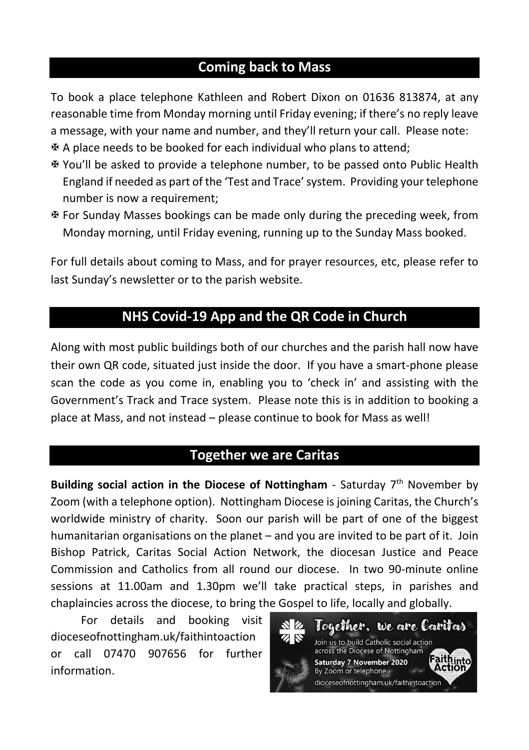#### **Coming back to Mass**

To book a place telephone Kathleen and Robert Dixon on 01636 813874, at any reasonable time from Monday morning until Friday evening; if there's no reply leave a message, with your name and number, and they'll return your call. Please note:  $\mathbf{\Psi}$  A place needs to be booked for each individual who plans to attend;

- X You'll be asked to provide a telephone number, to be passed onto Public Health England if needed as part of the 'Test and Trace' system. Providing your telephone number is now a requirement;
- X For Sunday Masses bookings can be made only during the preceding week, from Monday morning, until Friday evening, running up to the Sunday Mass booked.

For full details about coming to Mass, and for prayer resources, etc, please refer to last Sunday's newsletter or to the parish website.

### **NHS Covid-19 App and the QR Code in Church**

Along with most public buildings both of our churches and the parish hall now have their own QR code, situated just inside the door. If you have a smart-phone please scan the code as you come in, enabling you to 'check in' and assisting with the Government's Track and Trace system. Please note this is in addition to booking a place at Mass, and not instead – please continue to book for Mass as well!

#### **Together we are Caritas**

**Building social action in the Diocese of Nottingham** - Saturday 7th November by Zoom (with a telephone option). Nottingham Diocese is joining Caritas, the Church's worldwide ministry of charity. Soon our parish will be part of one of the biggest humanitarian organisations on the planet – and you are invited to be part of it. Join Bishop Patrick, Caritas Social Action Network, the diocesan Justice and Peace Commission and Catholics from all round our diocese. In two 90-minute online sessions at 11.00am and 1.30pm we'll take practical steps, in parishes and chaplaincies across the diocese, to bring the Gospel to life, locally and globally.

For details and booking visit dioceseofnottingham.uk/faithintoaction or call 07470 907656 for further information.

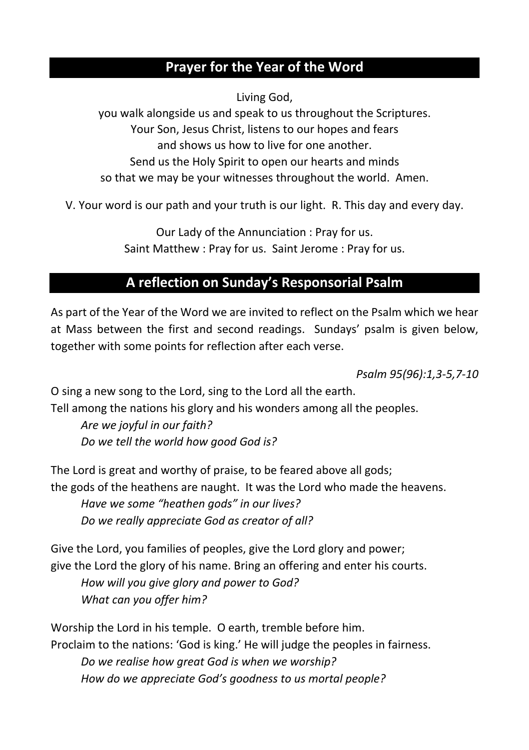#### **Prayer for the Year of the Word**

Living God,

you walk alongside us and speak to us throughout the Scriptures. Your Son, Jesus Christ, listens to our hopes and fears and shows us how to live for one another. Send us the Holy Spirit to open our hearts and minds so that we may be your witnesses throughout the world. Amen.

V. Your word is our path and your truth is our light. R. This day and every day.

Our Lady of the Annunciation : Pray for us. Saint Matthew : Pray for us. Saint Jerome : Pray for us.

### **A reflection on Sunday's Responsorial Psalm**

As part of the Year of the Word we are invited to reflect on the Psalm which we hear at Mass between the first and second readings. Sundays' psalm is given below, together with some points for reflection after each verse.

*Psalm 95(96):1,3-5,7-10*

O sing a new song to the Lord, sing to the Lord all the earth.

Tell among the nations his glory and his wonders among all the peoples.

*Are we joyful in our faith? Do we tell the world how good God is?*

The Lord is great and worthy of praise, to be feared above all gods; the gods of the heathens are naught. It was the Lord who made the heavens. *Have we some "heathen gods" in our lives? Do we really appreciate God as creator of all?*

Give the Lord, you families of peoples, give the Lord glory and power; give the Lord the glory of his name. Bring an offering and enter his courts. *How will you give glory and power to God? What can you offer him?*

Worship the Lord in his temple. O earth, tremble before him. Proclaim to the nations: 'God is king.' He will judge the peoples in fairness. *Do we realise how great God is when we worship? How do we appreciate God's goodness to us mortal people?*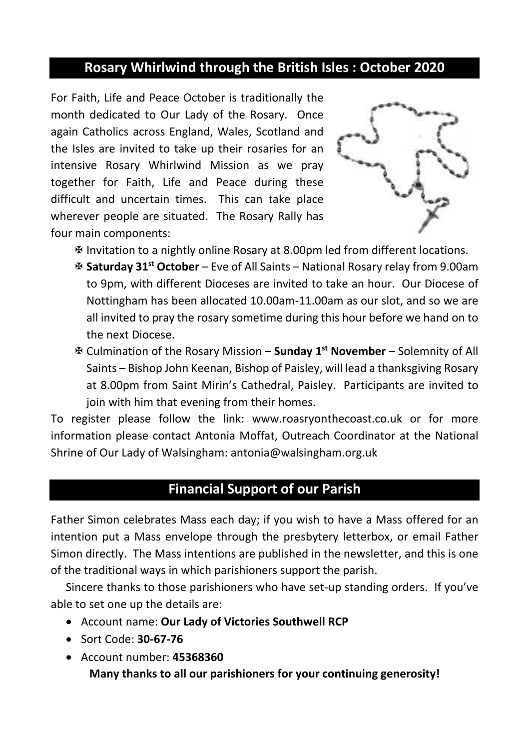#### **Rosary Whirlwind through the British Isles : October 2020**

For Faith, Life and Peace October is traditionally the month dedicated to Our Lady of the Rosary. Once again Catholics across England, Wales, Scotland and the Isles are invited to take up their rosaries for an intensive Rosary Whirlwind Mission as we pray together for Faith, Life and Peace during these difficult and uncertain times. This can take place wherever people are situated. The Rosary Rally has four main components:



X Invitation to a nightly online Rosary at 8.00pm led from different locations.

- X **Saturday 31st October** Eve of All Saints National Rosary relay from 9.00am to 9pm, with different Dioceses are invited to take an hour. Our Diocese of Nottingham has been allocated 10.00am-11.00am as our slot, and so we are all invited to pray the rosary sometime during this hour before we hand on to the next Diocese.
- X Culmination of the Rosary Mission **Sunday 1st November** Solemnity of All Saints – Bishop John Keenan, Bishop of Paisley, will lead a thanksgiving Rosary at 8.00pm from Saint Mirin's Cathedral, Paisley. Participants are invited to join with him that evening from their homes.

To register please follow the link: www.roasryonthecoast.co.uk or for more information please contact Antonia Moffat, Outreach Coordinator at the National Shrine of Our Lady of Walsingham: antonia@walsingham.org.uk

#### **Financial Support of our Parish**

Father Simon celebrates Mass each day; if you wish to have a Mass offered for an intention put a Mass envelope through the presbytery letterbox, or email Father Simon directly. The Mass intentions are published in the newsletter, and this is one of the traditional ways in which parishioners support the parish.

Sincere thanks to those parishioners who have set-up standing orders. If you've able to set one up the details are:

- Account name: **Our Lady of Victories Southwell RCP**
- Sort Code: **30-67-76**
- Account number: **45368360 Many thanks to all our parishioners for your continuing generosity!**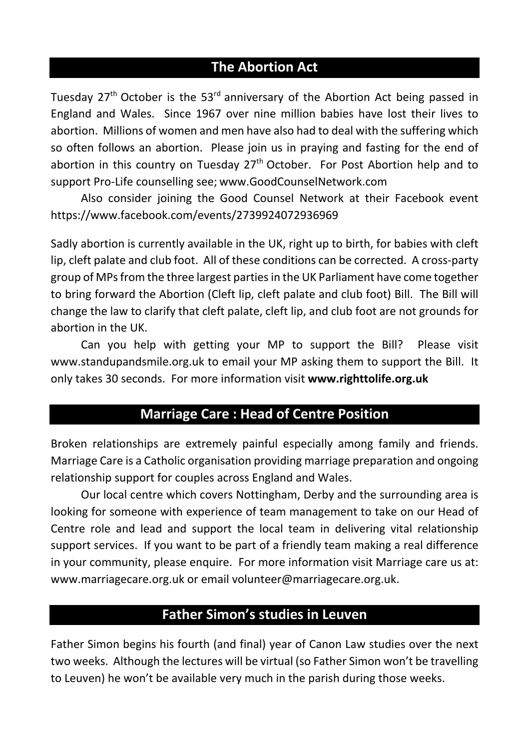#### **The Abortion Act**

Tuesday 27<sup>th</sup> October is the 53<sup>rd</sup> anniversary of the Abortion Act being passed in England and Wales. Since 1967 over nine million babies have lost their lives to abortion. Millions of women and men have also had to deal with the suffering which so often follows an abortion. Please join us in praying and fasting for the end of abortion in this country on Tuesday  $27<sup>th</sup>$  October. For Post Abortion help and to support Pro-Life counselling see; www.GoodCounselNetwork.com

Also consider joining the Good Counsel Network at their Facebook event https://www.facebook.com/events/2739924072936969

Sadly abortion is currently available in the UK, right up to birth, for babies with cleft lip, cleft palate and club foot. All of these conditions can be corrected. A cross-party group of MPs from the three largest parties in the UK Parliament have come together to bring forward the Abortion (Cleft lip, cleft palate and club foot) Bill. The Bill will change the law to clarify that cleft palate, cleft lip, and club foot are not grounds for abortion in the UK.

Can you help with getting your MP to support the Bill? Please visit www.standupandsmile.org.uk to email your MP asking them to support the Bill. It only takes 30 seconds. For more information visit **www.righttolife.org.uk**

#### **Marriage Care : Head of Centre Position**

Broken relationships are extremely painful especially among family and friends. Marriage Care is a Catholic organisation providing marriage preparation and ongoing relationship support for couples across England and Wales.

Our local centre which covers Nottingham, Derby and the surrounding area is looking for someone with experience of team management to take on our Head of Centre role and lead and support the local team in delivering vital relationship support services. If you want to be part of a friendly team making a real difference in your community, please enquire. For more information visit Marriage care us at: www.marriagecare.org.uk or email volunteer@marriagecare.org.uk.

#### **Father Simon's studies in Leuven**

Father Simon begins his fourth (and final) year of Canon Law studies over the next two weeks. Although the lectures will be virtual (so Father Simon won't be travelling to Leuven) he won't be available very much in the parish during those weeks.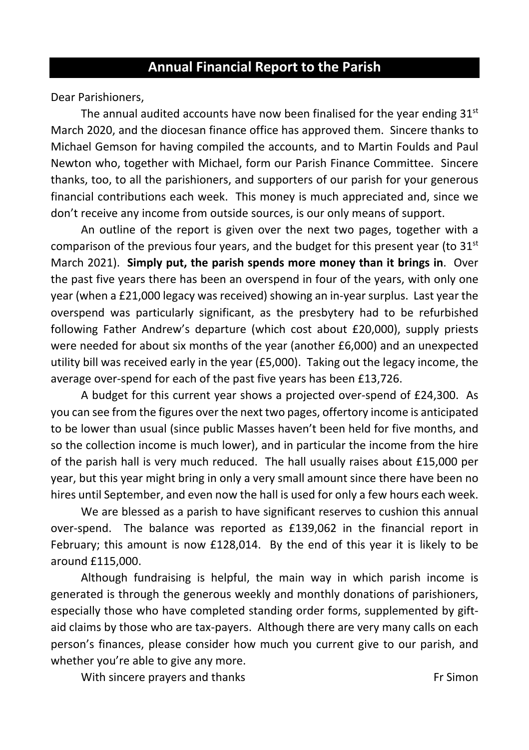Dear Parishioners,

The annual audited accounts have now been finalised for the year ending  $31<sup>st</sup>$ March 2020, and the diocesan finance office has approved them. Sincere thanks to Michael Gemson for having compiled the accounts, and to Martin Foulds and Paul Newton who, together with Michael, form our Parish Finance Committee. Sincere thanks, too, to all the parishioners, and supporters of our parish for your generous financial contributions each week. This money is much appreciated and, since we don't receive any income from outside sources, is our only means of support.

An outline of the report is given over the next two pages, together with a comparison of the previous four years, and the budget for this present year (to  $31<sup>st</sup>$ March 2021). **Simply put, the parish spends more money than it brings in**. Over the past five years there has been an overspend in four of the years, with only one year (when a £21,000 legacy was received) showing an in-year surplus. Last year the overspend was particularly significant, as the presbytery had to be refurbished following Father Andrew's departure (which cost about £20,000), supply priests were needed for about six months of the year (another £6,000) and an unexpected utility bill was received early in the year (£5,000). Taking out the legacy income, the average over-spend for each of the past five years has been £13,726.

A budget for this current year shows a projected over-spend of £24,300. As you can see from the figures over the next two pages, offertory income is anticipated to be lower than usual (since public Masses haven't been held for five months, and so the collection income is much lower), and in particular the income from the hire of the parish hall is very much reduced. The hall usually raises about £15,000 per year, but this year might bring in only a very small amount since there have been no hires until September, and even now the hall is used for only a few hours each week.

We are blessed as a parish to have significant reserves to cushion this annual over-spend. The balance was reported as £139,062 in the financial report in February; this amount is now £128,014. By the end of this year it is likely to be around £115,000.

Although fundraising is helpful, the main way in which parish income is generated is through the generous weekly and monthly donations of parishioners, especially those who have completed standing order forms, supplemented by giftaid claims by those who are tax-payers. Although there are very many calls on each person's finances, please consider how much you current give to our parish, and whether you're able to give any more.

With sincere prayers and thanks Fr Simon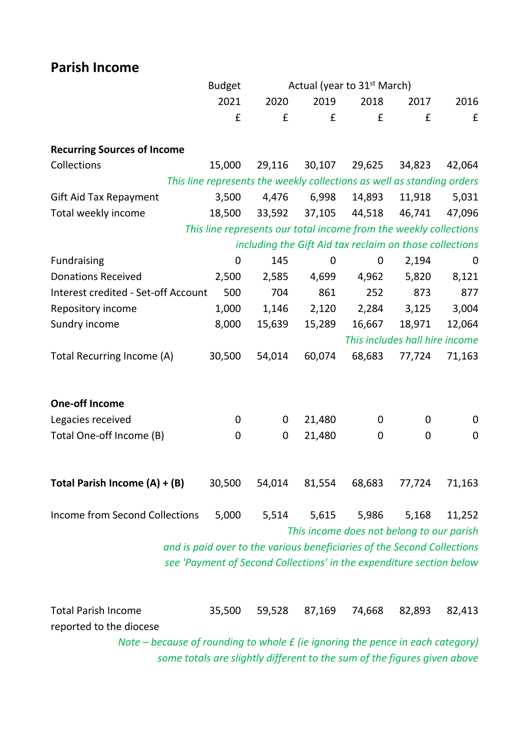### **Parish Income**

|                                                                                | <b>Budget</b> |        |                               | Actual (year to 31 <sup>st</sup> March)                                 |                                |        |
|--------------------------------------------------------------------------------|---------------|--------|-------------------------------|-------------------------------------------------------------------------|--------------------------------|--------|
|                                                                                | 2021          | 2020   | 2019                          | 2018                                                                    | 2017                           | 2016   |
|                                                                                | £             | £      | £                             | £                                                                       | £                              | £      |
|                                                                                |               |        |                               |                                                                         |                                |        |
| <b>Recurring Sources of Income</b>                                             |               |        |                               |                                                                         |                                |        |
| Collections                                                                    | 15,000        | 29,116 | 30,107                        | 29,625                                                                  | 34,823                         | 42,064 |
|                                                                                |               |        |                               | This line represents the weekly collections as well as standing orders  |                                |        |
| Gift Aid Tax Repayment                                                         | 3,500         | 4,476  | 6,998                         | 14,893                                                                  | 11,918                         | 5,031  |
| Total weekly income                                                            | 18,500        | 33,592 | 37,105                        | 44,518                                                                  | 46,741                         | 47,096 |
|                                                                                |               |        |                               | This line represents our total income from the weekly collections       |                                |        |
|                                                                                |               |        |                               | including the Gift Aid tax reclaim on those collections                 |                                |        |
| Fundraising                                                                    | 0             | 145    | 0                             | 0                                                                       | 2,194                          | 0      |
| <b>Donations Received</b>                                                      | 2,500         | 2,585  | 4,699                         | 4,962                                                                   | 5,820                          | 8,121  |
| Interest credited - Set-off Account                                            | 500           | 704    | 861                           | 252                                                                     | 873                            | 877    |
| Repository income                                                              | 1,000         | 1,146  | 2,120                         | 2,284                                                                   | 3,125                          | 3,004  |
| Sundry income                                                                  | 8,000         | 15,639 | 15,289                        | 16,667                                                                  | 18,971                         | 12,064 |
|                                                                                |               |        |                               |                                                                         | This includes hall hire income |        |
| Total Recurring Income (A)                                                     | 30,500        | 54,014 | 60,074                        | 68,683                                                                  | 77,724                         | 71,163 |
|                                                                                |               |        |                               |                                                                         |                                |        |
| <b>One-off Income</b>                                                          |               |        |                               |                                                                         |                                |        |
| Legacies received                                                              | 0             | 0      | 21,480                        | 0                                                                       | 0                              | 0      |
| Total One-off Income (B)                                                       | 0             | 0      | 21,480                        | 0                                                                       | 0                              | 0      |
|                                                                                |               |        |                               |                                                                         |                                |        |
|                                                                                |               |        |                               |                                                                         |                                |        |
| Total Parish Income (A) + (B)                                                  | 30,500        | 54,014 | 81,554                        | 68,683                                                                  | 77,724                         | 71,163 |
|                                                                                |               |        |                               |                                                                         |                                |        |
| Income from Second Collections                                                 | 5,000         | 5,514  | 5,615                         | 5,986                                                                   | 5,168                          | 11,252 |
|                                                                                |               |        |                               | This income does not belong to our parish                               |                                |        |
|                                                                                |               |        |                               | and is paid over to the various beneficiaries of the Second Collections |                                |        |
|                                                                                |               |        |                               | see 'Payment of Second Collections' in the expenditure section below    |                                |        |
|                                                                                |               |        |                               |                                                                         |                                |        |
|                                                                                |               |        |                               |                                                                         |                                |        |
| <b>Total Parish Income</b>                                                     | 35,500        | 59,528 | 87,169                        | 74,668                                                                  | 82,893                         | 82,413 |
| reported to the diocese                                                        |               |        |                               |                                                                         |                                |        |
| Note - because of rounding to whole £ (ie ignoring the pence in each category) |               |        | <b><i>RAME COLLECTION</i></b> |                                                                         |                                |        |

*some totals are slightly different to the sum of the figures given above*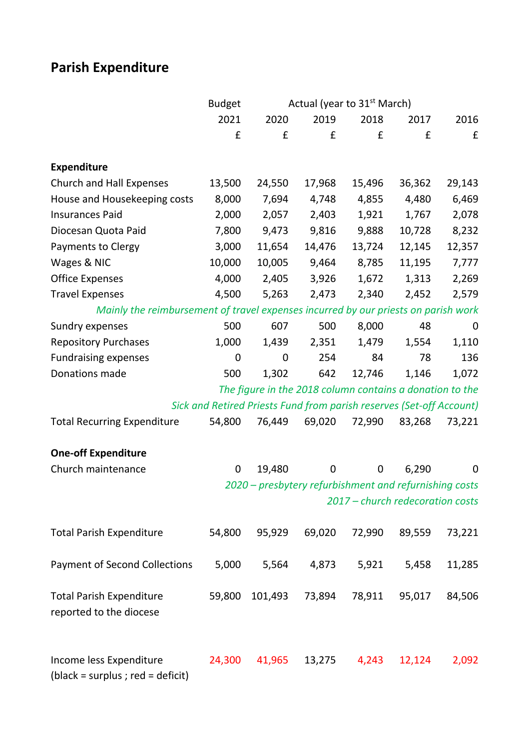## **Parish Expenditure**

|                                                                                    | <b>Budget</b> |         | Actual (year to 31 <sup>st</sup> March)                              |        |                                  |        |
|------------------------------------------------------------------------------------|---------------|---------|----------------------------------------------------------------------|--------|----------------------------------|--------|
|                                                                                    | 2021          | 2020    | 2019                                                                 | 2018   | 2017                             | 2016   |
|                                                                                    | £             | £       | £                                                                    | £      | £                                | £      |
| <b>Expenditure</b>                                                                 |               |         |                                                                      |        |                                  |        |
| Church and Hall Expenses                                                           | 13,500        | 24,550  | 17,968                                                               | 15,496 | 36,362                           | 29,143 |
| House and Housekeeping costs                                                       | 8,000         | 7,694   | 4,748                                                                | 4,855  | 4,480                            | 6,469  |
| <b>Insurances Paid</b>                                                             | 2,000         | 2,057   | 2,403                                                                | 1,921  | 1,767                            | 2,078  |
| Diocesan Quota Paid                                                                | 7,800         | 9,473   | 9,816                                                                | 9,888  | 10,728                           | 8,232  |
| Payments to Clergy                                                                 | 3,000         | 11,654  | 14,476                                                               | 13,724 | 12,145                           | 12,357 |
| Wages & NIC                                                                        | 10,000        | 10,005  | 9,464                                                                | 8,785  | 11,195                           | 7,777  |
| <b>Office Expenses</b>                                                             | 4,000         | 2,405   | 3,926                                                                | 1,672  | 1,313                            | 2,269  |
| <b>Travel Expenses</b>                                                             | 4,500         | 5,263   | 2,473                                                                | 2,340  | 2,452                            | 2,579  |
| Mainly the reimbursement of travel expenses incurred by our priests on parish work |               |         |                                                                      |        |                                  |        |
| Sundry expenses                                                                    | 500           | 607     | 500                                                                  | 8,000  | 48                               | 0      |
| <b>Repository Purchases</b>                                                        | 1,000         | 1,439   | 2,351                                                                | 1,479  | 1,554                            | 1,110  |
| <b>Fundraising expenses</b>                                                        | 0             | 0       | 254                                                                  | 84     | 78                               | 136    |
| Donations made                                                                     | 500           | 1,302   | 642                                                                  | 12,746 | 1,146                            | 1,072  |
|                                                                                    |               |         | The figure in the 2018 column contains a donation to the             |        |                                  |        |
|                                                                                    |               |         | Sick and Retired Priests Fund from parish reserves (Set-off Account) |        |                                  |        |
| <b>Total Recurring Expenditure</b>                                                 | 54,800        | 76,449  | 69,020                                                               | 72,990 | 83,268                           | 73,221 |
| <b>One-off Expenditure</b>                                                         |               |         |                                                                      |        |                                  |        |
| Church maintenance                                                                 | 0             | 19,480  | 0                                                                    | 0      | 6,290                            | 0      |
|                                                                                    |               |         | 2020 - presbytery refurbishment and refurnishing costs               |        |                                  |        |
|                                                                                    |               |         |                                                                      |        | 2017 - church redecoration costs |        |
| <b>Total Parish Expenditure</b>                                                    | 54,800        | 95,929  | 69,020                                                               | 72,990 | 89,559                           | 73,221 |
| <b>Payment of Second Collections</b>                                               | 5,000         | 5,564   | 4,873                                                                | 5,921  | 5,458                            | 11,285 |
| <b>Total Parish Expenditure</b><br>reported to the diocese                         | 59,800        | 101,493 | 73,894                                                               | 78,911 | 95,017                           | 84,506 |
| Income less Expenditure<br>(black = surplus ; red = deficit)                       | 24,300        | 41,965  | 13,275                                                               | 4,243  | 12,124                           | 2,092  |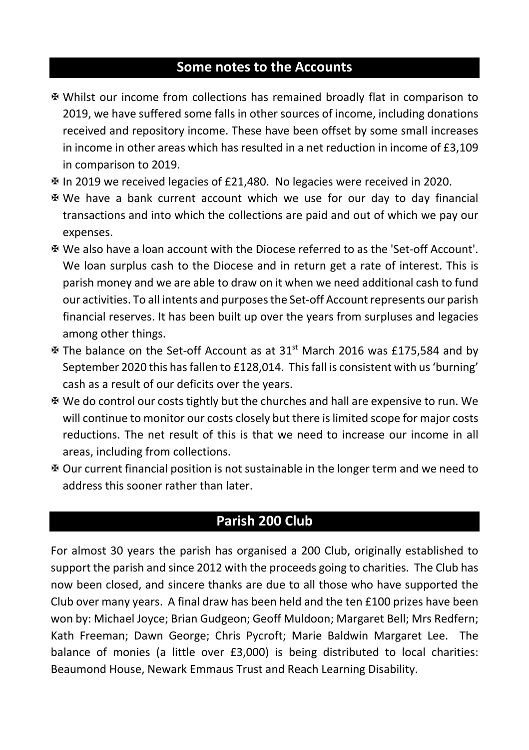#### **Some notes to the Accounts**

- X Whilst our income from collections has remained broadly flat in comparison to 2019, we have suffered some falls in other sources of income, including donations received and repository income. These have been offset by some small increases in income in other areas which has resulted in a net reduction in income of £3,109 in comparison to 2019.
- X In 2019 we received legacies of £21,480. No legacies were received in 2020.
- X We have a bank current account which we use for our day to day financial transactions and into which the collections are paid and out of which we pay our expenses.
- X We also have a loan account with the Diocese referred to as the 'Set-off Account'. We loan surplus cash to the Diocese and in return get a rate of interest. This is parish money and we are able to draw on it when we need additional cash to fund our activities. To all intents and purposes the Set-off Account represents our parish financial reserves. It has been built up over the years from surpluses and legacies among other things.
- $\overline{x}$  The balance on the Set-off Account as at 31<sup>st</sup> March 2016 was £175,584 and by September 2020 this has fallen to £128,014. This fall is consistent with us 'burning' cash as a result of our deficits over the years.
- X We do control our costs tightly but the churches and hall are expensive to run. We will continue to monitor our costs closely but there is limited scope for major costs reductions. The net result of this is that we need to increase our income in all areas, including from collections.
- X Our current financial position is not sustainable in the longer term and we need to address this sooner rather than later.

#### **Parish 200 Club**

For almost 30 years the parish has organised a 200 Club, originally established to support the parish and since 2012 with the proceeds going to charities. The Club has now been closed, and sincere thanks are due to all those who have supported the Club over many years. A final draw has been held and the ten £100 prizes have been won by: Michael Joyce; Brian Gudgeon; Geoff Muldoon; Margaret Bell; Mrs Redfern; Kath Freeman; Dawn George; Chris Pycroft; Marie Baldwin Margaret Lee. The balance of monies (a little over £3,000) is being distributed to local charities: Beaumond House, Newark Emmaus Trust and Reach Learning Disability.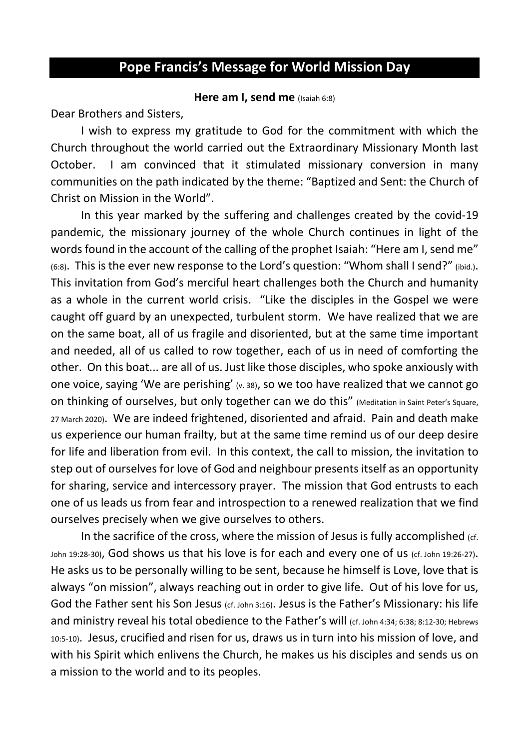#### **Pope Francis's Message for World Mission Day**

#### **Here am I, send me** (Isaiah 6:8)

Dear Brothers and Sisters,

I wish to express my gratitude to God for the commitment with which the Church throughout the world carried out the Extraordinary Missionary Month last October. I am convinced that it stimulated missionary conversion in many communities on the path indicated by the theme: "Baptized and Sent: the Church of Christ on Mission in the World".

In this year marked by the suffering and challenges created by the covid-19 pandemic, the missionary journey of the whole Church continues in light of the words found in the account of the calling of the prophet Isaiah: "Here am I, send me" (6:8). This is the ever new response to the Lord's question: "Whom shall I send?" (ibid.). This invitation from God's merciful heart challenges both the Church and humanity as a whole in the current world crisis. "Like the disciples in the Gospel we were caught off guard by an unexpected, turbulent storm. We have realized that we are on the same boat, all of us fragile and disoriented, but at the same time important and needed, all of us called to row together, each of us in need of comforting the other. On this boat... are all of us. Just like those disciples, who spoke anxiously with one voice, saying 'We are perishing'  $(x, 38)$ , so we too have realized that we cannot go on thinking of ourselves, but only together can we do this" (Meditation in Saint Peter's Square, 27 March 2020). We are indeed frightened, disoriented and afraid. Pain and death make us experience our human frailty, but at the same time remind us of our deep desire for life and liberation from evil. In this context, the call to mission, the invitation to step out of ourselves for love of God and neighbour presents itself as an opportunity for sharing, service and intercessory prayer. The mission that God entrusts to each one of us leads us from fear and introspection to a renewed realization that we find ourselves precisely when we give ourselves to others.

In the sacrifice of the cross, where the mission of Jesus is fully accomplished  $(cf)$ . John 19:28-30), God shows us that his love is for each and every one of us (cf. John 19:26-27). He asks us to be personally willing to be sent, because he himself is Love, love that is always "on mission", always reaching out in order to give life. Out of his love for us, God the Father sent his Son Jesus (cf. John 3:16). Jesus is the Father's Missionary: his life and ministry reveal his total obedience to the Father's will (cf. John 4:34; 6:38; 8:12-30; Hebrews 10:5-10). Jesus, crucified and risen for us, draws us in turn into his mission of love, and with his Spirit which enlivens the Church, he makes us his disciples and sends us on a mission to the world and to its peoples.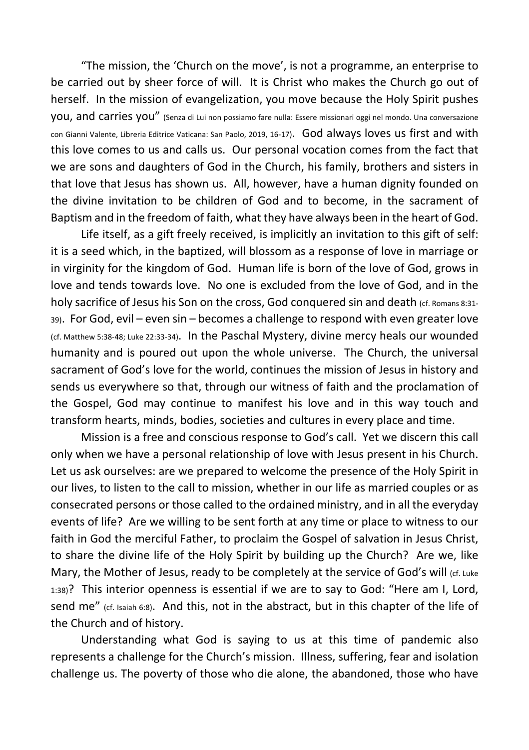"The mission, the 'Church on the move', is not a programme, an enterprise to be carried out by sheer force of will. It is Christ who makes the Church go out of herself. In the mission of evangelization, you move because the Holy Spirit pushes you, and carries you" (Senza di Lui non possiamo fare nulla: Essere missionari oggi nel mondo. Una conversazione con Gianni Valente, Libreria Editrice Vaticana: San Paolo, 2019, 16-17). God always loves us first and with this love comes to us and calls us. Our personal vocation comes from the fact that we are sons and daughters of God in the Church, his family, brothers and sisters in that love that Jesus has shown us. All, however, have a human dignity founded on the divine invitation to be children of God and to become, in the sacrament of Baptism and in the freedom of faith, what they have always been in the heart of God.

Life itself, as a gift freely received, is implicitly an invitation to this gift of self: it is a seed which, in the baptized, will blossom as a response of love in marriage or in virginity for the kingdom of God. Human life is born of the love of God, grows in love and tends towards love. No one is excluded from the love of God, and in the holy sacrifice of Jesus his Son on the cross, God conquered sin and death (cf. Romans 8:31-39). For God, evil – even sin – becomes a challenge to respond with even greater love (cf. Matthew 5:38-48; Luke 22:33-34). In the Paschal Mystery, divine mercy heals our wounded humanity and is poured out upon the whole universe. The Church, the universal sacrament of God's love for the world, continues the mission of Jesus in history and sends us everywhere so that, through our witness of faith and the proclamation of the Gospel, God may continue to manifest his love and in this way touch and transform hearts, minds, bodies, societies and cultures in every place and time.

Mission is a free and conscious response to God's call. Yet we discern this call only when we have a personal relationship of love with Jesus present in his Church. Let us ask ourselves: are we prepared to welcome the presence of the Holy Spirit in our lives, to listen to the call to mission, whether in our life as married couples or as consecrated persons or those called to the ordained ministry, and in all the everyday events of life? Are we willing to be sent forth at any time or place to witness to our faith in God the merciful Father, to proclaim the Gospel of salvation in Jesus Christ, to share the divine life of the Holy Spirit by building up the Church? Are we, like Mary, the Mother of Jesus, ready to be completely at the service of God's will (cf. Luke 1:38)? This interior openness is essential if we are to say to God: "Here am I, Lord, send me" (cf. Isaiah 6:8). And this, not in the abstract, but in this chapter of the life of the Church and of history.

Understanding what God is saying to us at this time of pandemic also represents a challenge for the Church's mission. Illness, suffering, fear and isolation challenge us. The poverty of those who die alone, the abandoned, those who have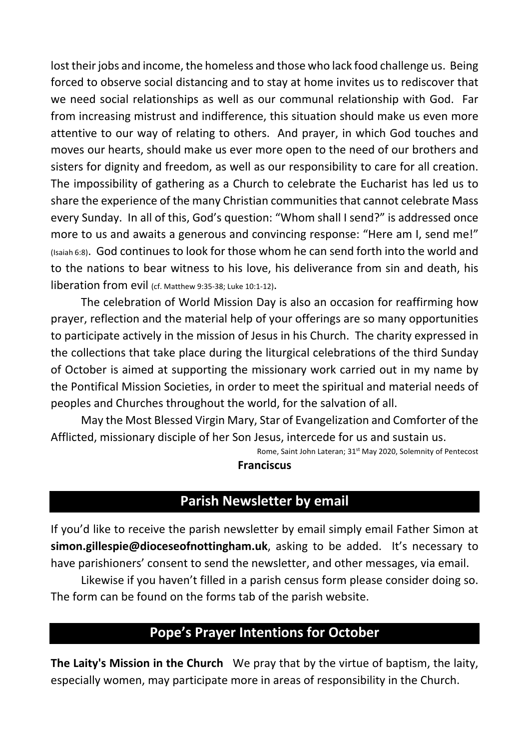lost their jobs and income, the homeless and those who lack food challenge us. Being forced to observe social distancing and to stay at home invites us to rediscover that we need social relationships as well as our communal relationship with God. Far from increasing mistrust and indifference, this situation should make us even more attentive to our way of relating to others. And prayer, in which God touches and moves our hearts, should make us ever more open to the need of our brothers and sisters for dignity and freedom, as well as our responsibility to care for all creation. The impossibility of gathering as a Church to celebrate the Eucharist has led us to share the experience of the many Christian communities that cannot celebrate Mass every Sunday. In all of this, God's question: "Whom shall I send?" is addressed once more to us and awaits a generous and convincing response: "Here am I, send me!" (Isaiah 6:8). God continues to look for those whom he can send forth into the world and to the nations to bear witness to his love, his deliverance from sin and death, his liberation from evil (cf. Matthew 9:35-38; Luke 10:1-12).

The celebration of World Mission Day is also an occasion for reaffirming how prayer, reflection and the material help of your offerings are so many opportunities to participate actively in the mission of Jesus in his Church. The charity expressed in the collections that take place during the liturgical celebrations of the third Sunday of October is aimed at supporting the missionary work carried out in my name by the Pontifical Mission Societies, in order to meet the spiritual and material needs of peoples and Churches throughout the world, for the salvation of all.

May the Most Blessed Virgin Mary, Star of Evangelization and Comforter of the Afflicted, missionary disciple of her Son Jesus, intercede for us and sustain us.

> Rome, Saint John Lateran; 31st May 2020, Solemnity of Pentecost **Franciscus**

#### **Parish Newsletter by email**

If you'd like to receive the parish newsletter by email simply email Father Simon at **simon.gillespie@dioceseofnottingham.uk**, asking to be added. It's necessary to have parishioners' consent to send the newsletter, and other messages, via email.

Likewise if you haven't filled in a parish census form please consider doing so. The form can be found on the forms tab of the parish website.

#### **Pope's Prayer Intentions for October**

**The Laity's Mission in the Church** We pray that by the virtue of baptism, the laity, especially women, may participate more in areas of responsibility in the Church.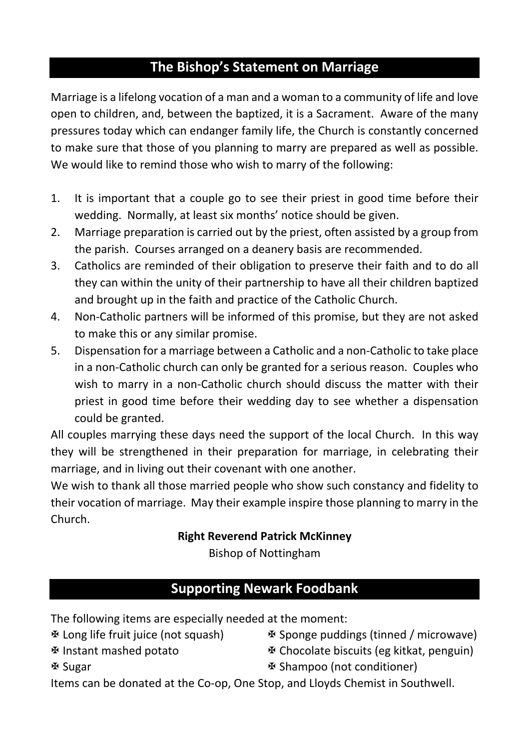### **The Bishop's Statement on Marriage**

Marriage is a lifelong vocation of a man and a woman to a community of life and love open to children, and, between the baptized, it is a Sacrament. Aware of the many pressures today which can endanger family life, the Church is constantly concerned to make sure that those of you planning to marry are prepared as well as possible. We would like to remind those who wish to marry of the following:

- 1. It is important that a couple go to see their priest in good time before their wedding. Normally, at least six months' notice should be given.
- 2. Marriage preparation is carried out by the priest, often assisted by a group from the parish. Courses arranged on a deanery basis are recommended.
- 3. Catholics are reminded of their obligation to preserve their faith and to do all they can within the unity of their partnership to have all their children baptized and brought up in the faith and practice of the Catholic Church.
- 4. Non-Catholic partners will be informed of this promise, but they are not asked to make this or any similar promise.
- 5. Dispensation for a marriage between a Catholic and a non-Catholic to take place in a non-Catholic church can only be granted for a serious reason. Couples who wish to marry in a non-Catholic church should discuss the matter with their priest in good time before their wedding day to see whether a dispensation could be granted.

All couples marrying these days need the support of the local Church. In this way they will be strengthened in their preparation for marriage, in celebrating their marriage, and in living out their covenant with one another.

We wish to thank all those married people who show such constancy and fidelity to their vocation of marriage. May their example inspire those planning to marry in the Church.

#### **Right Reverend Patrick McKinney**

Bishop of Nottingham

### **Supporting Newark Foodbank**

The following items are especially needed at the moment:

- X Long life fruit juice (not squash)
- X Instant mashed potato
- X Sponge puddings (tinned / microwave)
- X Chocolate biscuits (eg kitkat, penguin)

**※ Sugar** 

X Shampoo (not conditioner)

Items can be donated at the Co-op, One Stop, and Lloyds Chemist in Southwell.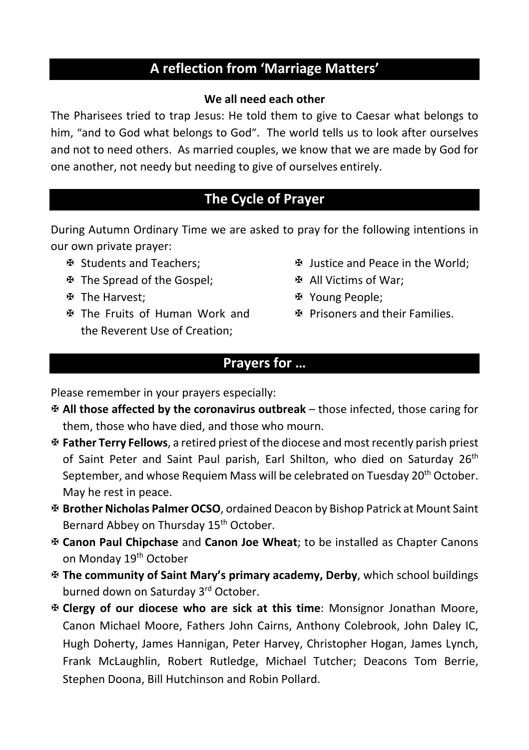#### **A reflection from 'Marriage Matters'**

#### **We all need each other**

The Pharisees tried to trap Jesus: He told them to give to Caesar what belongs to him, "and to God what belongs to God". The world tells us to look after ourselves and not to need others. As married couples, we know that we are made by God for one another, not needy but needing to give of ourselves entirely.

#### **The Cycle of Prayer**

During Autumn Ordinary Time we are asked to pray for the following intentions in our own private prayer:

- X Students and Teachers;
- X The Spread of the Gospel;
- X The Harvest;
- X The Fruits of Human Work and the Reverent Use of Creation;
- X Justice and Peace in the World;
- X All Victims of War;
- **EX Young People;**
- X Prisoners and their Families.

#### **Prayers for …**

Please remember in your prayers especially:

- X **All those affected by the coronavirus outbreak** those infected, those caring for them, those who have died, and those who mourn.
- X **Father Terry Fellows**, a retired priest of the diocese and most recently parish priest of Saint Peter and Saint Paul parish, Earl Shilton, who died on Saturday 26<sup>th</sup> September, and whose Requiem Mass will be celebrated on Tuesday 20<sup>th</sup> October. May he rest in peace.
- X **Brother Nicholas Palmer OCSO**, ordained Deacon by Bishop Patrick at Mount Saint Bernard Abbey on Thursday 15<sup>th</sup> October.
- X **Canon Paul Chipchase** and **Canon Joe Wheat**; to be installed as Chapter Canons on Monday 19<sup>th</sup> October
- X **The community of Saint Mary's primary academy, Derby**, which school buildings burned down on Saturday 3<sup>rd</sup> October.
- X **Clergy of our diocese who are sick at this time**: Monsignor Jonathan Moore, Canon Michael Moore, Fathers John Cairns, Anthony Colebrook, John Daley IC, Hugh Doherty, James Hannigan, Peter Harvey, Christopher Hogan, James Lynch, Frank McLaughlin, Robert Rutledge, Michael Tutcher; Deacons Tom Berrie, Stephen Doona, Bill Hutchinson and Robin Pollard.